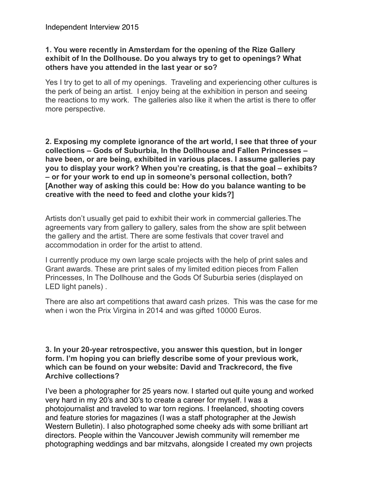### **1. You were recently in Amsterdam for the opening of the Rize Gallery exhibit of In the Dollhouse. Do you always try to get to openings? What others have you attended in the last year or so?**

Yes I try to get to all of my openings. Traveling and experiencing other cultures is the perk of being an artist. I enjoy being at the exhibition in person and seeing the reactions to my work. The galleries also like it when the artist is there to offer more perspective.

**2. Exposing my complete ignorance of the art world, I see that three of your collections – Gods of Suburbia, In the Dollhouse and Fallen Princesses – have been, or are being, exhibited in various places. I assume galleries pay you to display your work? When you're creating, is that the goal – exhibits? – or for your work to end up in someone's personal collection, both? [Another way of asking this could be: How do you balance wanting to be creative with the need to feed and clothe your kids?]**

Artists don't usually get paid to exhibit their work in commercial galleries.The agreements vary from gallery to gallery, sales from the show are split between the gallery and the artist. There are some festivals that cover travel and accommodation in order for the artist to attend.

I currently produce my own large scale projects with the help of print sales and Grant awards. These are print sales of my limited edition pieces from Fallen Princesses, In The Dollhouse and the Gods Of Suburbia series (displayed on LED light panels) .

There are also art competitions that award cash prizes. This was the case for me when i won the Prix Virgina in 2014 and was gifted 10000 Euros.

### **3. In your 20-year retrospective, you answer this question, but in longer form. I'm hoping you can briefly describe some of your previous work, which can be found on your website: David and Trackrecord, the five Archive collections?**

I've been a photographer for 25 years now. I started out quite young and worked very hard in my 20's and 30's to create a career for myself. I was a photojournalist and traveled to war torn regions. I freelanced, shooting covers and feature stories for magazines (I was a staff photographer at the Jewish Western Bulletin). I also photographed some cheeky ads with some brilliant art directors. People within the Vancouver Jewish community will remember me photographing weddings and bar mitzvahs, alongside I created my own projects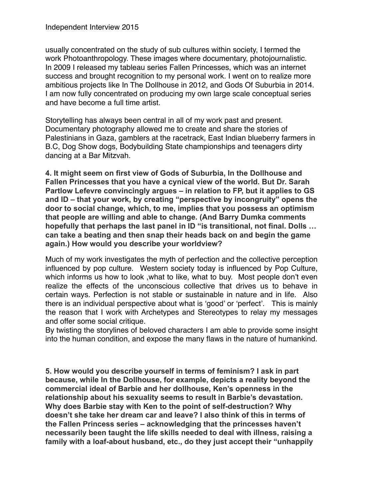usually concentrated on the study of sub cultures within society, I termed the work Photoanthropology. These images where documentary, photojournalistic. In 2009 I released my tableau series Fallen Princesses, which was an internet success and brought recognition to my personal work. I went on to realize more ambitious projects like In The Dollhouse in 2012, and Gods Of Suburbia in 2014. I am now fully concentrated on producing my own large scale conceptual series and have become a full time artist.

Storytelling has always been central in all of my work past and present. Documentary photography allowed me to create and share the stories of Palestinians in Gaza, gamblers at the racetrack, East Indian blueberry farmers in B.C, Dog Show dogs, Bodybuilding State championships and teenagers dirty dancing at a Bar Mitzvah.

**4. It might seem on first view of Gods of Suburbia, In the Dollhouse and Fallen Princesses that you have a cynical view of the world. But Dr. Sarah Partlow Lefevre convincingly argues – in relation to FP, but it applies to GS and ID – that your work, by creating "perspective by incongruity" opens the door to social change, which, to me, implies that you possess an optimism that people are willing and able to change. (And Barry Dumka comments hopefully that perhaps the last panel in ID "is transitional, not final. Dolls … can take a beating and then snap their heads back on and begin the game again.) How would you describe your worldview?** 

Much of my work investigates the myth of perfection and the collective perception influenced by pop culture. Western society today is influenced by Pop Culture, which informs us how to look ,what to like, what to buy. Most people don't even realize the effects of the unconscious collective that drives us to behave in certain ways. Perfection is not stable or sustainable in nature and in life. Also there is an individual perspective about what is 'good' or 'perfect'. This is mainly the reason that I work with Archetypes and Stereotypes to relay my messages and offer some social critique.

By twisting the storylines of beloved characters I am able to provide some insight into the human condition, and expose the many flaws in the nature of humankind.

**5. How would you describe yourself in terms of feminism? I ask in part because, while In the Dollhouse, for example, depicts a reality beyond the commercial ideal of Barbie and her dollhouse, Ken's openness in the relationship about his sexuality seems to result in Barbie's devastation. Why does Barbie stay with Ken to the point of self-destruction? Why doesn't she take her dream car and leave? I also think of this in terms of the Fallen Princess series – acknowledging that the princesses haven't necessarily been taught the life skills needed to deal with illness, raising a family with a loaf-about husband, etc., do they just accept their "unhappily**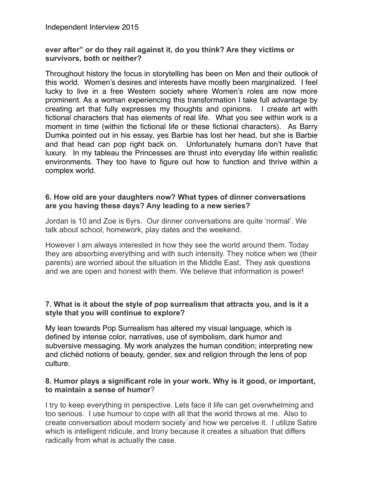### **ever after" or do they rail against it, do you think? Are they victims or survivors, both or neither?**

Throughout history the focus in storytelling has been on Men and their outlook of this world. Women's desires and interests have mostly been marginalized. I feel lucky to live in a free Western society where Women's roles are now more prominent. As a woman experiencing this transformation I take full advantage by creating art that fully expresses my thoughts and opinions. I create art with fictional characters that has elements of real life. What you see within work is a moment in time (within the fictional life or these fictional characters). As Barry Dumka pointed out in his essay, yes Barbie has lost her head, but she is Barbie and that head can pop right back on. Unfortunately humans don't have that luxury. In my tableau the Princesses are thrust into everyday life within realistic environments. They too have to figure out how to function and thrive within a complex world.

### **6. How old are your daughters now? What types of dinner conversations are you having these days? Any leading to a new series?**

Jordan is 10 and Zoe is 6yrs. Our dinner conversations are quite 'normal'. We talk about school, homework, play dates and the weekend.

However I am always interested in how they see the world around them. Today they are absorbing everything and with such intensity. They notice when we (their parents) are worried about the situation in the Middle East. They ask questions and we are open and honest with them. We believe that information is power!

### **7. What is it about the style of pop surrealism that attracts you, and is it a style that you will continue to explore?**

My lean towards Pop Surrealism has altered my visual language, which is defined by intense color, narratives, use of symbolism, dark humor and subversive messaging. My work analyzes the human condition; interpreting new and clichéd notions of beauty, gender, sex and religion through the lens of pop culture.

### **8. Humor plays a significant role in your work. Why is it good, or important, to maintain a sense of humor**?

I try to keep everything in perspective. Lets face it life can get overwhelming and too serious. I use humour to cope with all that the world throws at me. Also to create conversation about modern society´and how we perceive it. I utilize Satire which is intelligent ridicule, and Irony because it creates a situation that differs radically from what is actually the case.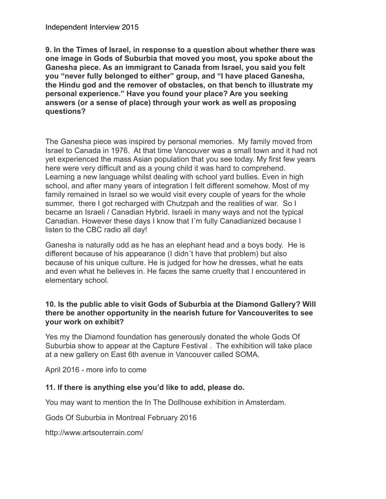**9. In the Times of Israel, in response to a question about whether there was one image in Gods of Suburbia that moved you most, you spoke about the Ganesha piece. As an immigrant to Canada from Israel, you said you felt you "never fully belonged to either" group, and "I have placed Ganesha, the Hindu god and the remover of obstacles, on that bench to illustrate my personal experience." Have you found your place? Are you seeking answers (or a sense of place) through your work as well as proposing questions?**

The Ganesha piece was inspired by personal memories. My family moved from Israel to Canada in 1976. At that time Vancouver was a small town and it had not yet experienced the mass Asian population that you see today. My first few years here were very difficult and as a young child it was hard to comprehend. Learning a new language whilst dealing with school yard bullies. Even in high school, and after many years of integration I felt different somehow. Most of my family remained in Israel so we would visit every couple of years for the whole summer, there I got recharged with Chutzpah and the realities of war. So I became an Israeli / Canadian Hybrid. Israeli in many ways and not the typical Canadian. However these days I know that I´m fully Canadianized because I listen to the CBC radio all day!

Ganesha is naturally odd as he has an elephant head and a boys body. He is different because of his appearance (I didn´t have that problem) but also because of his unique culture. He is judged for how he dresses, what he eats and even what he believes in. He faces the same cruelty that I encountered in elementary school.

## **10. Is the public able to visit Gods of Suburbia at the Diamond Gallery? Will there be another opportunity in the nearish future for Vancouverites to see your work on exhibit?**

Yes my the Diamond foundation has generously donated the whole Gods Of Suburbia show to appear at the Capture Festival . The exhibition will take place at a new gallery on East 6th avenue in Vancouver called SOMA.

April 2016 - more info to come

# **11. If there is anything else you'd like to add, please do.**

You may want to mention the In The Dollhouse exhibition in Amsterdam.

Gods Of Suburbia in Montreal February 2016

http://www.artsouterrain.com/